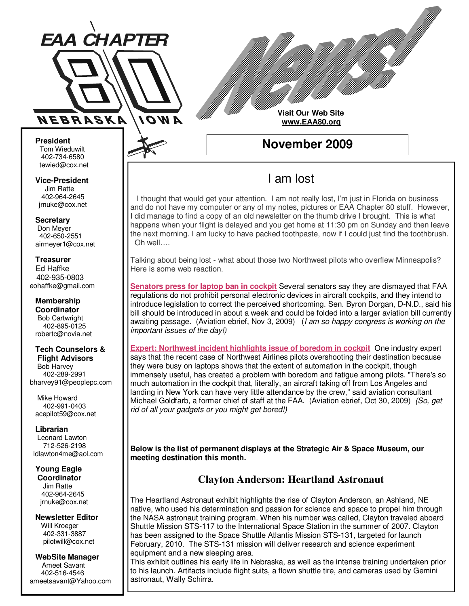

**Visit Our Web Site www.EAA80.org**

**November 2009** 

# I am lost

 I thought that would get your attention. I am not really lost, I'm just in Florida on business and do not have my computer or any of my notes, pictures or EAA Chapter 80 stuff. However, I did manage to find a copy of an old newsletter on the thumb drive I brought. This is what happens when your flight is delayed and you get home at 11:30 pm on Sunday and then leave the next morning. I am lucky to have packed toothpaste, now if I could just find the toothbrush. Oh well….

Talking about being lost - what about those two Northwest pilots who overflew Minneapolis? Here is some web reaction.

**Senators press for laptop ban in cockpit** Several senators say they are dismayed that FAA regulations do not prohibit personal electronic devices in aircraft cockpits, and they intend to introduce legislation to correct the perceived shortcoming. Sen. Byron Dorgan, D-N.D., said his bill should be introduced in about a week and could be folded into a larger aviation bill currently awaiting passage. (Aviation ebrief, Nov 3, 2009) (*I am so happy congress is working on the* important issues of the day!)

**Expert: Northwest incident highlights issue of boredom in cockpit** One industry expert says that the recent case of Northwest Airlines pilots overshooting their destination because they were busy on laptops shows that the extent of automation in the cockpit, though immensely useful, has created a problem with boredom and fatigue among pilots. "There's so much automation in the cockpit that, literally, an aircraft taking off from Los Angeles and landing in New York can have very little attendance by the crew," said aviation consultant Michael Goldfarb, a former chief of staff at the FAA. (Aviation ebrief, Oct 30, 2009) (So, get rid of all your gadgets or you might get bored!)

**Below is the list of permanent displays at the Strategic Air & Space Museum, our meeting destination this month.** 

# **Clayton Anderson: Heartland Astronaut**

The Heartland Astronaut exhibit highlights the rise of Clayton Anderson, an Ashland, NE native, who used his determination and passion for science and space to propel him through the NASA astronaut training program. When his number was called, Clayton traveled aboard Shuttle Mission STS-117 to the International Space Station in the summer of 2007. Clayton has been assigned to the Space Shuttle Atlantis Mission STS-131, targeted for launch February, 2010. The STS-131 mission will deliver research and science experiment equipment and a new sleeping area.

This exhibit outlines his early life in Nebraska, as well as the intense training undertaken prior to his launch. Artifacts include flight suits, a flown shuttle tire, and cameras used by Gemini astronaut, Wally Schirra.

**President**  Tom Wieduwilt 402-734-6580 tewied@cox.net

**Vice-President**  Jim Ratte 402-964-2645 jrnuke@cox.net

**Secretary**  Don Meyer 402-650-2551 airmeyer1@cox.net

**Treasurer**  Ed Haffke 402-935-0803 eohaffke@gmail.com

**Membership Coordinator**  Bob Cartwright 402-895-0125 robertc@novia.net

#### **Tech Counselors & Flight Advisors**

 Bob Harvey 402-289-2991 bharvey91@peoplepc.com

 Mike Howard 402-991-0403 acepilot59@cox.net

**Librarian**

 Leonard Lawton 712-526-2198 ldlawton4me@aol.com

#### **Young Eagle Coordinator**

 Jim Ratte 402-964-2645 jrnuke@cox.net

## **Newsletter Editor**

 Will Kroeger 402-331-3887 pilotwill@cox.net

#### **WebSite Manager**  Ameet Savant 402-516-4546 ameetsavant@Yahoo.com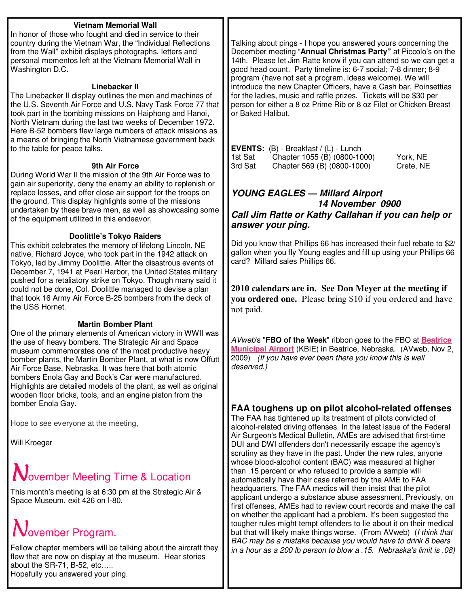# **Vietnam Memorial Wall**

In honor of those who fought and died in service to their country during the Vietnam War, the "Individual Reflections from the Wall" exhibit displays photographs, letters and personal mementos left at the Vietnam Memorial Wall in Washington D.C.

#### **Linebacker II**

The Linebacker II display outlines the men and machines of the U.S. Seventh Air Force and U.S. Navy Task Force 77 that took part in the bombing missions on Haiphong and Hanoi, North Vietnam during the last two weeks of December 1972. Here B-52 bombers flew large numbers of attack missions as a means of bringing the North Vietnamese government back to the table for peace talks.

#### **9th Air Force**

During World War II the mission of the 9th Air Force was to gain air superiority, deny the enemy an ability to replenish or replace losses, and offer close air support for the troops on the ground. This display highlights some of the missions undertaken by these brave men, as well as showcasing some of the equipment utilized in this endeavor.

#### **Doolittle's Tokyo Raiders**

This exhibit celebrates the memory of lifelong Lincoln, NE native, Richard Joyce, who took part in the 1942 attack on Tokyo, led by Jimmy Doolittle. After the disastrous events of December 7, 1941 at Pearl Harbor, the United States military pushed for a retaliatory strike on Tokyo. Though many said it could not be done, Col. Doolittle managed to devise a plan that took 16 Army Air Force B-25 bombers from the deck of the USS Hornet.

#### **Martin Bomber Plant**

One of the primary elements of American victory in WWII was the use of heavy bombers. The Strategic Air and Space museum commemorates one of the most productive heavy bomber plants, the Martin Bomber Plant, at what is now Offutt Air Force Base, Nebraska. It was here that both atomic bombers Enola Gay and Bock's Car were manufactured. Highlights are detailed models of the plant, as well as original wooden floor bricks, tools, and an engine piston from the bomber Enola Gay.

Hope to see everyone at the meeting,

Will Kroeger

# November Meeting Time & Location

This month's meeting is at 6:30 pm at the Strategic Air & Space Museum, exit 426 on I-80.

# November Program.

Fellow chapter members will be talking about the aircraft they flew that are now on display at the museum. Hear stories about the SR-71, B-52, etc….. Hopefully you answered your ping.

Talking about pings - I hope you answered yours concerning the December meeting "**Annual Christmas Party"** at Piccolo's on the 14th. Please let Jim Ratte know if you can attend so we can get a good head count. Party timeline is: 6-7 social; 7-8 dinner; 8-9 program (have not set a program, ideas welcome). We will introduce the new Chapter Officers, have a Cash bar, Poinsettias for the ladies, music and raffle prizes. Tickets will be \$30 per person for either a 8 oz Prime Rib or 8 oz Filet or Chicken Breast or Baked Halibut.

|         | <b>EVENTS:</b> $(B)$ - Breakfast / $(L)$ - Lunch |           |
|---------|--------------------------------------------------|-----------|
| 1st Sat | Chapter 1055 (B) (0800-1000)                     | York, NE  |
| 3rd Sat | Chapter 569 (B) (0800-1000)                      | Crete, NE |

# **YOUNG EAGLES — Millard Airport 14 November 0900 Call Jim Ratte or Kathy Callahan if you can help or answer your ping.**

Did you know that Phillips 66 has increased their fuel rebate to \$2/ gallon when you fly Young eagles and fill up using your Phillips 66 card? Millard sales Phillips 66.

**2010 calendars are in. See Don Meyer at the meeting if you ordered one.** Please bring \$10 if you ordered and have not paid.

AVweb's "**FBO of the Week**" ribbon goes to the FBO at **Beatrice Municipal Airport** (KBIE) in Beatrice, Nebraska. (AVweb, Nov 2, 2009) (If you have ever been there you know this is well deserved.)

# **FAA toughens up on pilot alcohol-related offenses**

The FAA has tightened up its treatment of pilots convicted of alcohol-related driving offenses. In the latest issue of the Federal Air Surgeon's Medical Bulletin, AMEs are advised that first-time DUI and DWI offenders don't necessarily escape the agency's scrutiny as they have in the past. Under the new rules, anyone whose blood-alcohol content (BAC) was measured at higher than .15 percent or who refused to provide a sample will automatically have their case referred by the AME to FAA headquarters. The FAA medics will then insist that the pilot applicant undergo a substance abuse assessment. Previously, on first offenses, AMEs had to review court records and make the call on whether the applicant had a problem. It's been suggested the tougher rules might tempt offenders to lie about it on their medical but that will likely make things worse. (From AVweb) (I think that BAC may be a mistake because you would have to drink 8 beers in a hour as a 200 lb person to blow a .15. Nebraska's limit is .08)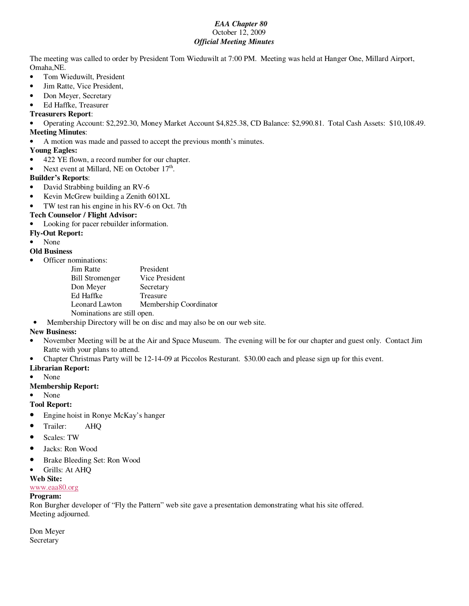#### *EAA Chapter 80* October 12, 2009 *Official Meeting Minutes*

The meeting was called to order by President Tom Wieduwilt at 7:00 PM. Meeting was held at Hanger One, Millard Airport, Omaha,NE.

- Tom Wieduwilt, President
- Jim Ratte, Vice President,
- Don Meyer, Secretary
- Ed Haffke, Treasurer

#### **Treasurers Report**:

• Operating Account: \$2,292.30, Money Market Account \$4,825.38, CD Balance: \$2,990.81. Total Cash Assets: \$10,108.49.

## **Meeting Minutes**:

• A motion was made and passed to accept the previous month's minutes.

## **Young Eagles:**

- 422 YE flown, a record number for our chapter.
- Next event at Millard, NE on October  $17<sup>th</sup>$ .

#### **Builder's Reports**:

- David Strabbing building an RV-6
- Kevin McGrew building a Zenith 601XL
- TW test ran his engine in his RV-6 on Oct. 7th

#### **Tech Counselor / Flight Advisor:**

#### • Looking for pacer rebuilder information.

#### **Fly-Out Report:**

• None

#### **Old Business**

• Officer nominations:

| President                   |  |  |  |
|-----------------------------|--|--|--|
| Vice President              |  |  |  |
| Secretary                   |  |  |  |
| Treasure                    |  |  |  |
| Membership Coordinator      |  |  |  |
| Nominations are still open. |  |  |  |
|                             |  |  |  |

• Membership Directory will be on disc and may also be on our web site.

## **New Business:**

- November Meeting will be at the Air and Space Museum. The evening will be for our chapter and guest only. Contact Jim Ratte with your plans to attend.
- Chapter Christmas Party will be 12-14-09 at Piccolos Resturant. \$30.00 each and please sign up for this event.

#### **Librarian Report:**

• None

#### **Membership Report:**

• None

**Tool Report:** 

- Engine hoist in Ronye McKay's hanger
- Trailer: AHO
- Scales: TW
- Jacks: Ron Wood
- Brake Bleeding Set: Ron Wood
- Grills: At AHQ
- **Web Site:**

#### www.eaa80.org

#### **Program:**

Ron Burgher developer of "Fly the Pattern" web site gave a presentation demonstrating what his site offered. Meeting adjourned.

Don Meyer Secretary